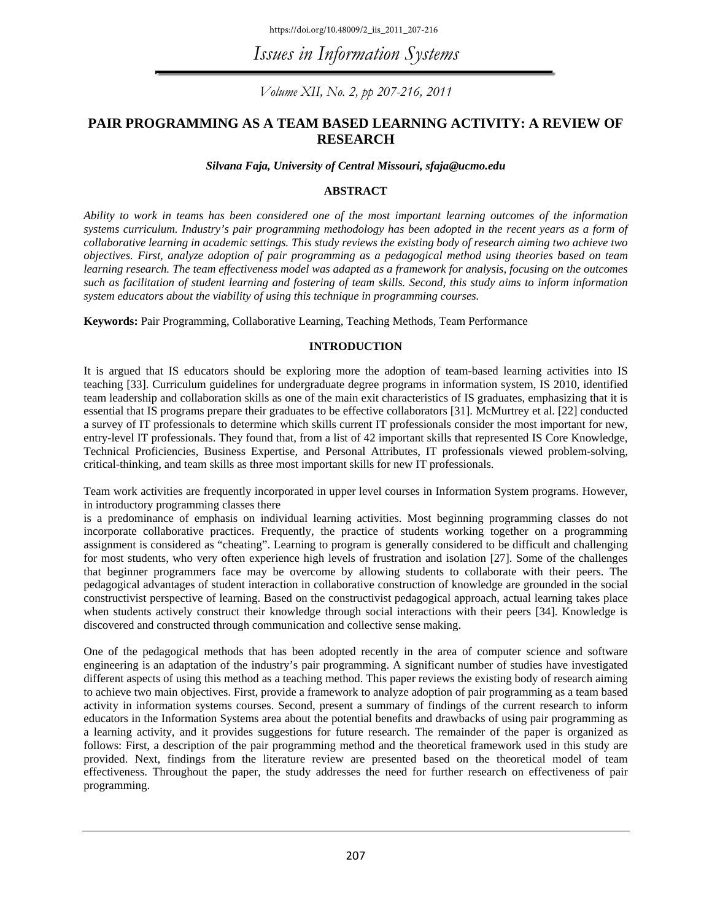https://doi.org/10.48009/2\_iis\_2011\_207-216

*Issues in Information Systems* 

*Volume XII, No. 2, pp 207-216, 2011* 

#### **PAIR PROGRAMMING AS A TEAM BASED LEARNING ACTIVITY: A REVIEW OF RESEARCH**

#### *Silvana Faja, University of Central Missouri, sfaja@ucmo.edu*

#### **ABSTRACT**

*Ability to work in teams has been considered one of the most important learning outcomes of the information systems curriculum. Industry's pair programming methodology has been adopted in the recent years as a form of collaborative learning in academic settings. This study reviews the existing body of research aiming two achieve two objectives. First, analyze adoption of pair programming as a pedagogical method using theories based on team learning research. The team effectiveness model was adapted as a framework for analysis, focusing on the outcomes such as facilitation of student learning and fostering of team skills. Second, this study aims to inform information system educators about the viability of using this technique in programming courses.* 

**Keywords:** Pair Programming, Collaborative Learning, Teaching Methods, Team Performance

#### **INTRODUCTION**

It is argued that IS educators should be exploring more the adoption of team-based learning activities into IS teaching [33]. Curriculum guidelines for undergraduate degree programs in information system, IS 2010, identified team leadership and collaboration skills as one of the main exit characteristics of IS graduates, emphasizing that it is essential that IS programs prepare their graduates to be effective collaborators [31]. McMurtrey et al. [22] conducted a survey of IT professionals to determine which skills current IT professionals consider the most important for new, entry-level IT professionals. They found that, from a list of 42 important skills that represented IS Core Knowledge, Technical Proficiencies, Business Expertise, and Personal Attributes, IT professionals viewed problem-solving, critical-thinking, and team skills as three most important skills for new IT professionals.

Team work activities are frequently incorporated in upper level courses in Information System programs. However, in introductory programming classes there

is a predominance of emphasis on individual learning activities. Most beginning programming classes do not incorporate collaborative practices. Frequently, the practice of students working together on a programming assignment is considered as "cheating". Learning to program is generally considered to be difficult and challenging for most students, who very often experience high levels of frustration and isolation [27]. Some of the challenges that beginner programmers face may be overcome by allowing students to collaborate with their peers. The pedagogical advantages of student interaction in collaborative construction of knowledge are grounded in the social constructivist perspective of learning. Based on the constructivist pedagogical approach, actual learning takes place when students actively construct their knowledge through social interactions with their peers [34]. Knowledge is discovered and constructed through communication and collective sense making.

One of the pedagogical methods that has been adopted recently in the area of computer science and software engineering is an adaptation of the industry's pair programming. A significant number of studies have investigated different aspects of using this method as a teaching method. This paper reviews the existing body of research aiming to achieve two main objectives. First, provide a framework to analyze adoption of pair programming as a team based activity in information systems courses. Second, present a summary of findings of the current research to inform educators in the Information Systems area about the potential benefits and drawbacks of using pair programming as a learning activity, and it provides suggestions for future research. The remainder of the paper is organized as follows: First, a description of the pair programming method and the theoretical framework used in this study are provided. Next, findings from the literature review are presented based on the theoretical model of team effectiveness. Throughout the paper, the study addresses the need for further research on effectiveness of pair programming.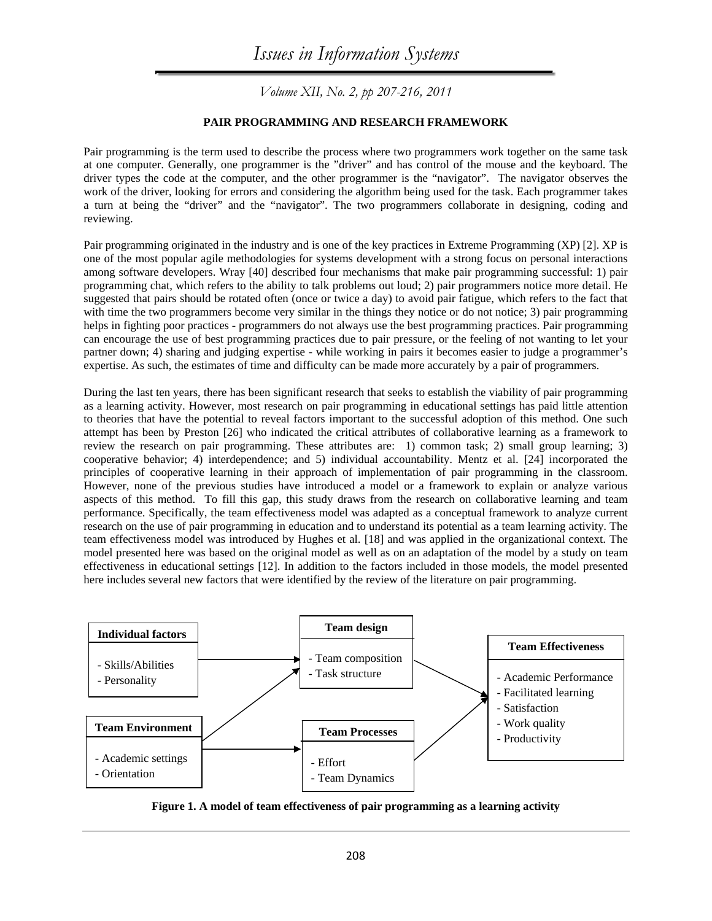#### **PAIR PROGRAMMING AND RESEARCH FRAMEWORK**

Pair programming is the term used to describe the process where two programmers work together on the same task at one computer. Generally, one programmer is the "driver" and has control of the mouse and the keyboard. The driver types the code at the computer, and the other programmer is the "navigator". The navigator observes the work of the driver, looking for errors and considering the algorithm being used for the task. Each programmer takes a turn at being the "driver" and the "navigator". The two programmers collaborate in designing, coding and reviewing.

Pair programming originated in the industry and is one of the key practices in Extreme Programming (XP) [2]. XP is one of the most popular agile methodologies for systems development with a strong focus on personal interactions among software developers. Wray [40] described four mechanisms that make pair programming successful: 1) pair programming chat, which refers to the ability to talk problems out loud; 2) pair programmers notice more detail. He suggested that pairs should be rotated often (once or twice a day) to avoid pair fatigue, which refers to the fact that with time the two programmers become very similar in the things they notice or do not notice; 3) pair programming helps in fighting poor practices - programmers do not always use the best programming practices. Pair programming can encourage the use of best programming practices due to pair pressure, or the feeling of not wanting to let your partner down; 4) sharing and judging expertise - while working in pairs it becomes easier to judge a programmer's expertise. As such, the estimates of time and difficulty can be made more accurately by a pair of programmers.

During the last ten years, there has been significant research that seeks to establish the viability of pair programming as a learning activity. However, most research on pair programming in educational settings has paid little attention to theories that have the potential to reveal factors important to the successful adoption of this method. One such attempt has been by Preston [26] who indicated the critical attributes of collaborative learning as a framework to review the research on pair programming. These attributes are: 1) common task; 2) small group learning; 3) cooperative behavior; 4) interdependence; and 5) individual accountability. Mentz et al. [24] incorporated the principles of cooperative learning in their approach of implementation of pair programming in the classroom. However, none of the previous studies have introduced a model or a framework to explain or analyze various aspects of this method. To fill this gap, this study draws from the research on collaborative learning and team performance. Specifically, the team effectiveness model was adapted as a conceptual framework to analyze current research on the use of pair programming in education and to understand its potential as a team learning activity. The team effectiveness model was introduced by Hughes et al. [18] and was applied in the organizational context. The model presented here was based on the original model as well as on an adaptation of the model by a study on team effectiveness in educational settings [12]. In addition to the factors included in those models, the model presented here includes several new factors that were identified by the review of the literature on pair programming.



**Figure 1. A model of team effectiveness of pair programming as a learning activity**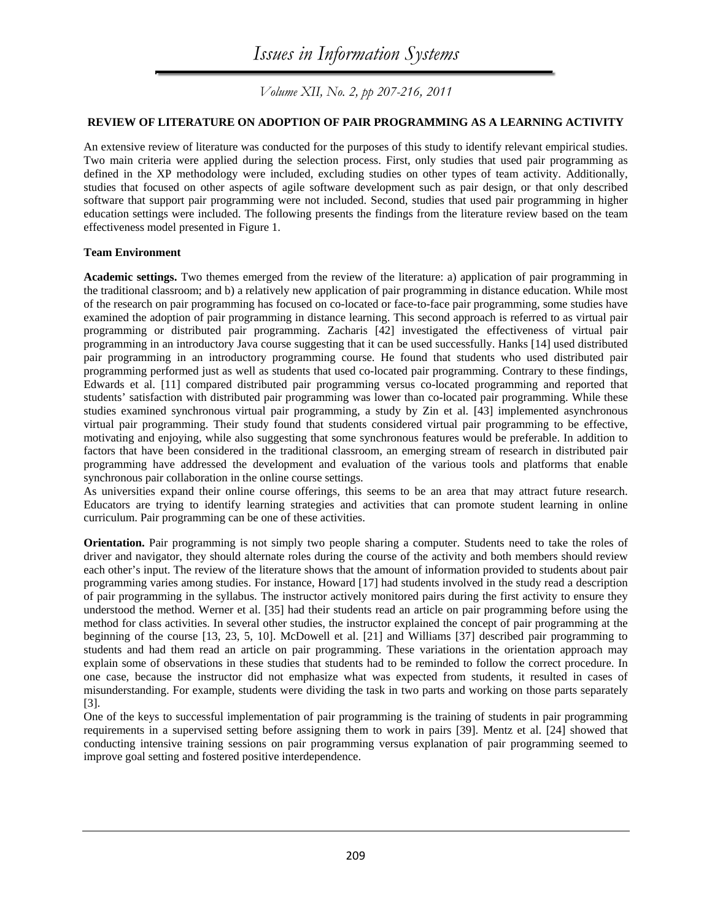#### **REVIEW OF LITERATURE ON ADOPTION OF PAIR PROGRAMMING AS A LEARNING ACTIVITY**

An extensive review of literature was conducted for the purposes of this study to identify relevant empirical studies. Two main criteria were applied during the selection process. First, only studies that used pair programming as defined in the XP methodology were included, excluding studies on other types of team activity. Additionally, studies that focused on other aspects of agile software development such as pair design, or that only described software that support pair programming were not included. Second, studies that used pair programming in higher education settings were included. The following presents the findings from the literature review based on the team effectiveness model presented in Figure 1.

#### **Team Environment**

**Academic settings.** Two themes emerged from the review of the literature: a) application of pair programming in the traditional classroom; and b) a relatively new application of pair programming in distance education. While most of the research on pair programming has focused on co-located or face-to-face pair programming, some studies have examined the adoption of pair programming in distance learning. This second approach is referred to as virtual pair programming or distributed pair programming. Zacharis [42] investigated the effectiveness of virtual pair programming in an introductory Java course suggesting that it can be used successfully. Hanks [14] used distributed pair programming in an introductory programming course. He found that students who used distributed pair programming performed just as well as students that used co-located pair programming. Contrary to these findings, Edwards et al. [11] compared distributed pair programming versus co-located programming and reported that students' satisfaction with distributed pair programming was lower than co-located pair programming. While these studies examined synchronous virtual pair programming, a study by Zin et al. [43] implemented asynchronous virtual pair programming. Their study found that students considered virtual pair programming to be effective, motivating and enjoying, while also suggesting that some synchronous features would be preferable. In addition to factors that have been considered in the traditional classroom, an emerging stream of research in distributed pair programming have addressed the development and evaluation of the various tools and platforms that enable synchronous pair collaboration in the online course settings.

As universities expand their online course offerings, this seems to be an area that may attract future research. Educators are trying to identify learning strategies and activities that can promote student learning in online curriculum. Pair programming can be one of these activities.

**Orientation.** Pair programming is not simply two people sharing a computer. Students need to take the roles of driver and navigator, they should alternate roles during the course of the activity and both members should review each other's input. The review of the literature shows that the amount of information provided to students about pair programming varies among studies. For instance, Howard [17] had students involved in the study read a description of pair programming in the syllabus. The instructor actively monitored pairs during the first activity to ensure they understood the method. Werner et al. [35] had their students read an article on pair programming before using the method for class activities. In several other studies, the instructor explained the concept of pair programming at the beginning of the course [13, 23, 5, 10]. McDowell et al. [21] and Williams [37] described pair programming to students and had them read an article on pair programming. These variations in the orientation approach may explain some of observations in these studies that students had to be reminded to follow the correct procedure. In one case, because the instructor did not emphasize what was expected from students, it resulted in cases of misunderstanding. For example, students were dividing the task in two parts and working on those parts separately [3].

One of the keys to successful implementation of pair programming is the training of students in pair programming requirements in a supervised setting before assigning them to work in pairs [39]. Mentz et al. [24] showed that conducting intensive training sessions on pair programming versus explanation of pair programming seemed to improve goal setting and fostered positive interdependence.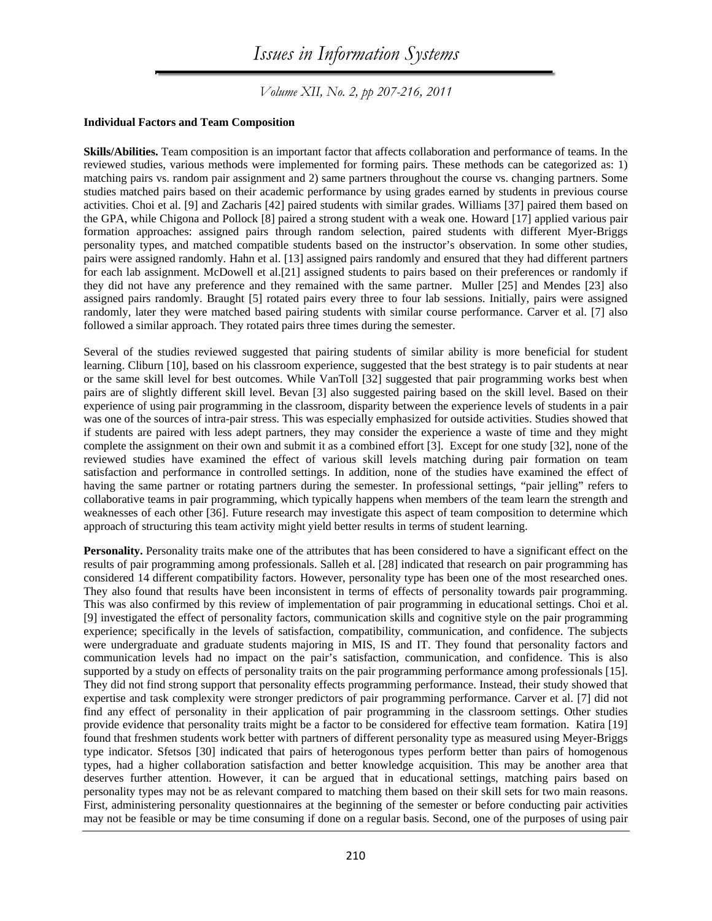*Volume XII, No. 2, pp 207-216, 2011* 

#### **Individual Factors and Team Composition**

**Skills/Abilities.** Team composition is an important factor that affects collaboration and performance of teams. In the reviewed studies, various methods were implemented for forming pairs. These methods can be categorized as: 1) matching pairs vs. random pair assignment and 2) same partners throughout the course vs. changing partners. Some studies matched pairs based on their academic performance by using grades earned by students in previous course activities. Choi et al. [9] and Zacharis [42] paired students with similar grades. Williams [37] paired them based on the GPA, while Chigona and Pollock [8] paired a strong student with a weak one. Howard [17] applied various pair formation approaches: assigned pairs through random selection, paired students with different Myer-Briggs personality types, and matched compatible students based on the instructor's observation. In some other studies, pairs were assigned randomly. Hahn et al. [13] assigned pairs randomly and ensured that they had different partners for each lab assignment. McDowell et al.[21] assigned students to pairs based on their preferences or randomly if they did not have any preference and they remained with the same partner. Muller [25] and Mendes [23] also assigned pairs randomly. Braught [5] rotated pairs every three to four lab sessions. Initially, pairs were assigned randomly, later they were matched based pairing students with similar course performance. Carver et al. [7] also followed a similar approach. They rotated pairs three times during the semester.

Several of the studies reviewed suggested that pairing students of similar ability is more beneficial for student learning. Cliburn [10], based on his classroom experience, suggested that the best strategy is to pair students at near or the same skill level for best outcomes. While VanToll [32] suggested that pair programming works best when pairs are of slightly different skill level. Bevan [3] also suggested pairing based on the skill level. Based on their experience of using pair programming in the classroom, disparity between the experience levels of students in a pair was one of the sources of intra-pair stress. This was especially emphasized for outside activities. Studies showed that if students are paired with less adept partners, they may consider the experience a waste of time and they might complete the assignment on their own and submit it as a combined effort [3]. Except for one study [32], none of the reviewed studies have examined the effect of various skill levels matching during pair formation on team satisfaction and performance in controlled settings. In addition, none of the studies have examined the effect of having the same partner or rotating partners during the semester. In professional settings, "pair jelling" refers to collaborative teams in pair programming, which typically happens when members of the team learn the strength and weaknesses of each other [36]. Future research may investigate this aspect of team composition to determine which approach of structuring this team activity might yield better results in terms of student learning.

**Personality.** Personality traits make one of the attributes that has been considered to have a significant effect on the results of pair programming among professionals. Salleh et al. [28] indicated that research on pair programming has considered 14 different compatibility factors. However, personality type has been one of the most researched ones. They also found that results have been inconsistent in terms of effects of personality towards pair programming. This was also confirmed by this review of implementation of pair programming in educational settings. Choi et al. [9] investigated the effect of personality factors, communication skills and cognitive style on the pair programming experience; specifically in the levels of satisfaction, compatibility, communication, and confidence. The subjects were undergraduate and graduate students majoring in MIS, IS and IT. They found that personality factors and communication levels had no impact on the pair's satisfaction, communication, and confidence. This is also supported by a study on effects of personality traits on the pair programming performance among professionals [15]. They did not find strong support that personality effects programming performance. Instead, their study showed that expertise and task complexity were stronger predictors of pair programming performance. Carver et al. [7] did not find any effect of personality in their application of pair programming in the classroom settings. Other studies provide evidence that personality traits might be a factor to be considered for effective team formation. Katira [19] found that freshmen students work better with partners of different personality type as measured using Meyer-Briggs type indicator. Sfetsos [30] indicated that pairs of heterogonous types perform better than pairs of homogenous types, had a higher collaboration satisfaction and better knowledge acquisition. This may be another area that deserves further attention. However, it can be argued that in educational settings, matching pairs based on personality types may not be as relevant compared to matching them based on their skill sets for two main reasons. First, administering personality questionnaires at the beginning of the semester or before conducting pair activities may not be feasible or may be time consuming if done on a regular basis. Second, one of the purposes of using pair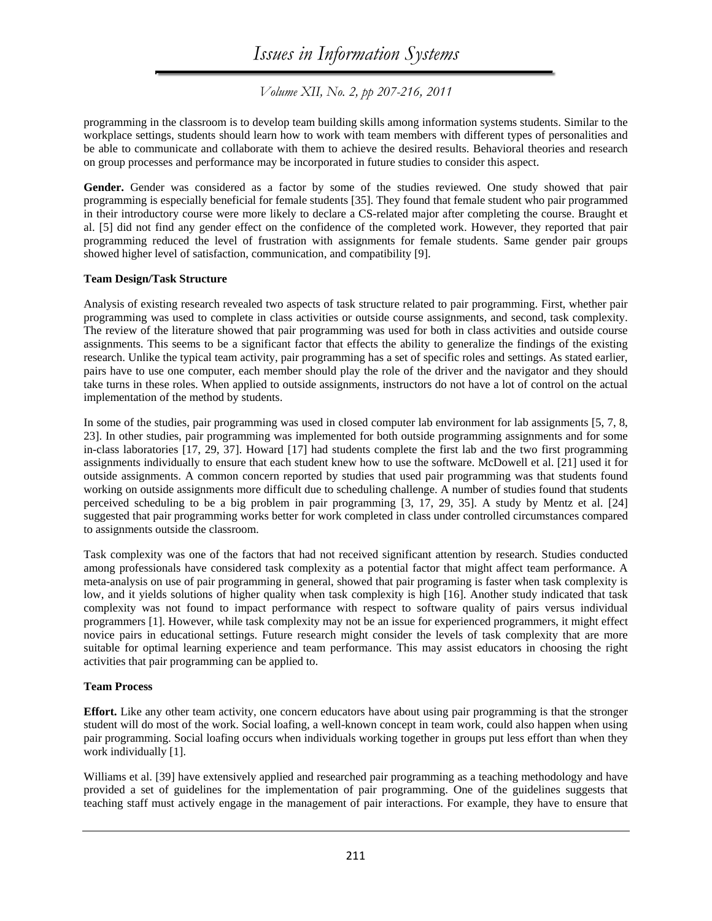*Volume XII, No. 2, pp 207-216, 2011* 

programming in the classroom is to develop team building skills among information systems students. Similar to the workplace settings, students should learn how to work with team members with different types of personalities and be able to communicate and collaborate with them to achieve the desired results. Behavioral theories and research on group processes and performance may be incorporated in future studies to consider this aspect.

**Gender.** Gender was considered as a factor by some of the studies reviewed. One study showed that pair programming is especially beneficial for female students [35]. They found that female student who pair programmed in their introductory course were more likely to declare a CS-related major after completing the course. Braught et al. [5] did not find any gender effect on the confidence of the completed work. However, they reported that pair programming reduced the level of frustration with assignments for female students. Same gender pair groups showed higher level of satisfaction, communication, and compatibility [9].

#### **Team Design/Task Structure**

Analysis of existing research revealed two aspects of task structure related to pair programming. First, whether pair programming was used to complete in class activities or outside course assignments, and second, task complexity. The review of the literature showed that pair programming was used for both in class activities and outside course assignments. This seems to be a significant factor that effects the ability to generalize the findings of the existing research. Unlike the typical team activity, pair programming has a set of specific roles and settings. As stated earlier, pairs have to use one computer, each member should play the role of the driver and the navigator and they should take turns in these roles. When applied to outside assignments, instructors do not have a lot of control on the actual implementation of the method by students.

In some of the studies, pair programming was used in closed computer lab environment for lab assignments [5, 7, 8, 23]. In other studies, pair programming was implemented for both outside programming assignments and for some in-class laboratories [17, 29, 37]. Howard [17] had students complete the first lab and the two first programming assignments individually to ensure that each student knew how to use the software. McDowell et al. [21] used it for outside assignments. A common concern reported by studies that used pair programming was that students found working on outside assignments more difficult due to scheduling challenge. A number of studies found that students perceived scheduling to be a big problem in pair programming [3, 17, 29, 35]. A study by Mentz et al. [24] suggested that pair programming works better for work completed in class under controlled circumstances compared to assignments outside the classroom.

Task complexity was one of the factors that had not received significant attention by research. Studies conducted among professionals have considered task complexity as a potential factor that might affect team performance. A meta-analysis on use of pair programming in general, showed that pair programing is faster when task complexity is low, and it yields solutions of higher quality when task complexity is high [16]. Another study indicated that task complexity was not found to impact performance with respect to software quality of pairs versus individual programmers [1]. However, while task complexity may not be an issue for experienced programmers, it might effect novice pairs in educational settings. Future research might consider the levels of task complexity that are more suitable for optimal learning experience and team performance. This may assist educators in choosing the right activities that pair programming can be applied to.

#### **Team Process**

**Effort.** Like any other team activity, one concern educators have about using pair programming is that the stronger student will do most of the work. Social loafing, a well-known concept in team work, could also happen when using pair programming. Social loafing occurs when individuals working together in groups put less effort than when they work individually [1].

Williams et al. [39] have extensively applied and researched pair programming as a teaching methodology and have provided a set of guidelines for the implementation of pair programming. One of the guidelines suggests that teaching staff must actively engage in the management of pair interactions. For example, they have to ensure that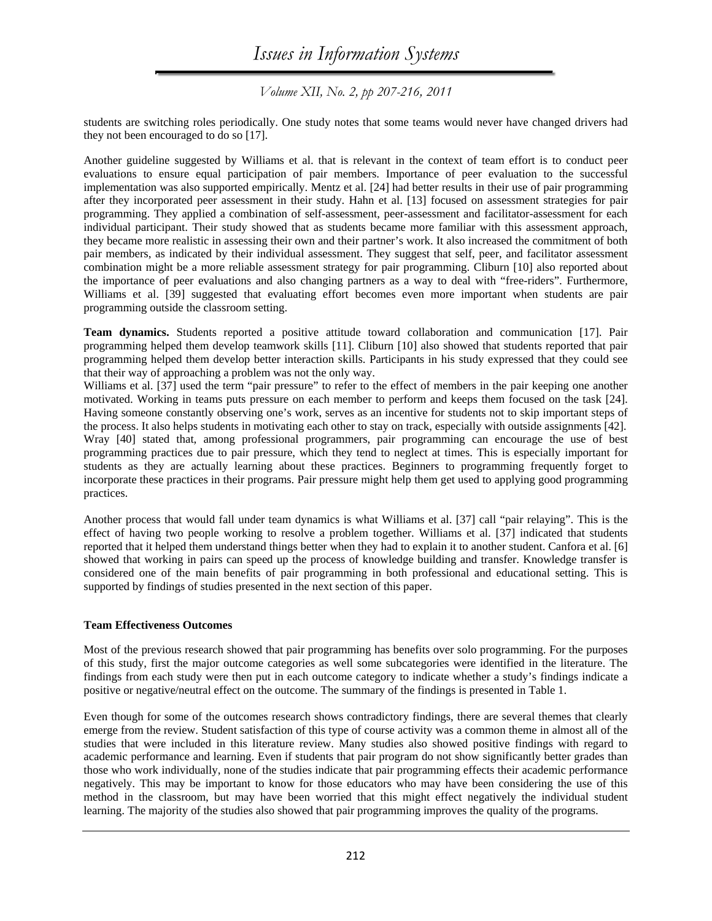*Volume XII, No. 2, pp 207-216, 2011* 

students are switching roles periodically. One study notes that some teams would never have changed drivers had they not been encouraged to do so [17].

Another guideline suggested by Williams et al. that is relevant in the context of team effort is to conduct peer evaluations to ensure equal participation of pair members. Importance of peer evaluation to the successful implementation was also supported empirically. Mentz et al. [24] had better results in their use of pair programming after they incorporated peer assessment in their study. Hahn et al. [13] focused on assessment strategies for pair programming. They applied a combination of self-assessment, peer-assessment and facilitator-assessment for each individual participant. Their study showed that as students became more familiar with this assessment approach, they became more realistic in assessing their own and their partner's work. It also increased the commitment of both pair members, as indicated by their individual assessment. They suggest that self, peer, and facilitator assessment combination might be a more reliable assessment strategy for pair programming. Cliburn [10] also reported about the importance of peer evaluations and also changing partners as a way to deal with "free-riders". Furthermore, Williams et al. [39] suggested that evaluating effort becomes even more important when students are pair programming outside the classroom setting.

**Team dynamics.** Students reported a positive attitude toward collaboration and communication [17]. Pair programming helped them develop teamwork skills [11]. Cliburn [10] also showed that students reported that pair programming helped them develop better interaction skills. Participants in his study expressed that they could see that their way of approaching a problem was not the only way.

Williams et al. [37] used the term "pair pressure" to refer to the effect of members in the pair keeping one another motivated. Working in teams puts pressure on each member to perform and keeps them focused on the task [24]. Having someone constantly observing one's work, serves as an incentive for students not to skip important steps of the process. It also helps students in motivating each other to stay on track, especially with outside assignments [42]. Wray [40] stated that, among professional programmers, pair programming can encourage the use of best programming practices due to pair pressure, which they tend to neglect at times. This is especially important for students as they are actually learning about these practices. Beginners to programming frequently forget to incorporate these practices in their programs. Pair pressure might help them get used to applying good programming practices.

Another process that would fall under team dynamics is what Williams et al. [37] call "pair relaying". This is the effect of having two people working to resolve a problem together. Williams et al. [37] indicated that students reported that it helped them understand things better when they had to explain it to another student. Canfora et al. [6] showed that working in pairs can speed up the process of knowledge building and transfer. Knowledge transfer is considered one of the main benefits of pair programming in both professional and educational setting. This is supported by findings of studies presented in the next section of this paper.

#### **Team Effectiveness Outcomes**

Most of the previous research showed that pair programming has benefits over solo programming. For the purposes of this study, first the major outcome categories as well some subcategories were identified in the literature. The findings from each study were then put in each outcome category to indicate whether a study's findings indicate a positive or negative/neutral effect on the outcome. The summary of the findings is presented in Table 1.

Even though for some of the outcomes research shows contradictory findings, there are several themes that clearly emerge from the review. Student satisfaction of this type of course activity was a common theme in almost all of the studies that were included in this literature review. Many studies also showed positive findings with regard to academic performance and learning. Even if students that pair program do not show significantly better grades than those who work individually, none of the studies indicate that pair programming effects their academic performance negatively. This may be important to know for those educators who may have been considering the use of this method in the classroom, but may have been worried that this might effect negatively the individual student learning. The majority of the studies also showed that pair programming improves the quality of the programs.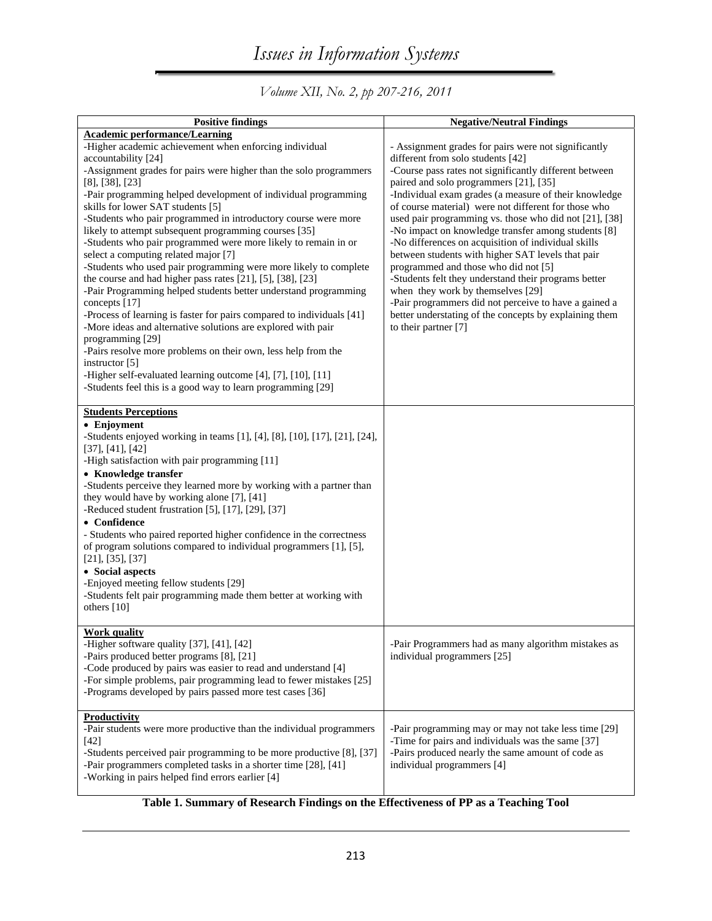*Volume XII, No. 2, pp 207-216, 2011* 

| <b>Positive findings</b>                                                                                                                                                                                                                                                                                                                                                                                                                                                                                                                                                                                                                                                                                                                                                                                                                                                                                                                                                                                                                                                                                                                                                | <b>Negative/Neutral Findings</b>                                                                                                                                                                                                                                                                                                                                                                                                                                                                                                                                                                                                                                                                                                                                                                                            |
|-------------------------------------------------------------------------------------------------------------------------------------------------------------------------------------------------------------------------------------------------------------------------------------------------------------------------------------------------------------------------------------------------------------------------------------------------------------------------------------------------------------------------------------------------------------------------------------------------------------------------------------------------------------------------------------------------------------------------------------------------------------------------------------------------------------------------------------------------------------------------------------------------------------------------------------------------------------------------------------------------------------------------------------------------------------------------------------------------------------------------------------------------------------------------|-----------------------------------------------------------------------------------------------------------------------------------------------------------------------------------------------------------------------------------------------------------------------------------------------------------------------------------------------------------------------------------------------------------------------------------------------------------------------------------------------------------------------------------------------------------------------------------------------------------------------------------------------------------------------------------------------------------------------------------------------------------------------------------------------------------------------------|
| <b>Academic performance/Learning</b><br>-Higher academic achievement when enforcing individual<br>accountability [24]<br>-Assignment grades for pairs were higher than the solo programmers<br>$[8]$ , $[38]$ , $[23]$<br>-Pair programming helped development of individual programming<br>skills for lower SAT students [5]<br>-Students who pair programmed in introductory course were more<br>likely to attempt subsequent programming courses [35]<br>-Students who pair programmed were more likely to remain in or<br>select a computing related major [7]<br>-Students who used pair programming were more likely to complete<br>the course and had higher pass rates [21], [5], [38], [23]<br>-Pair Programming helped students better understand programming<br>concepts [17]<br>-Process of learning is faster for pairs compared to individuals [41]<br>-More ideas and alternative solutions are explored with pair<br>programming [29]<br>-Pairs resolve more problems on their own, less help from the<br>instructor [5]<br>-Higher self-evaluated learning outcome [4], [7], [10], [11]<br>-Students feel this is a good way to learn programming [29] | - Assignment grades for pairs were not significantly<br>different from solo students [42]<br>-Course pass rates not significantly different between<br>paired and solo programmers [21], [35]<br>-Individual exam grades (a measure of their knowledge<br>of course material) were not different for those who<br>used pair programming vs. those who did not [21], [38]<br>-No impact on knowledge transfer among students [8]<br>-No differences on acquisition of individual skills<br>between students with higher SAT levels that pair<br>programmed and those who did not [5]<br>-Students felt they understand their programs better<br>when they work by themselves [29]<br>-Pair programmers did not perceive to have a gained a<br>better understating of the concepts by explaining them<br>to their partner [7] |
| <b>Students Perceptions</b><br>• Enjoyment<br>-Students enjoyed working in teams [1], [4], [8], [10], [17], [21], [24],<br>[37], [41], [42]<br>-High satisfaction with pair programming [11]<br>• Knowledge transfer<br>-Students perceive they learned more by working with a partner than<br>they would have by working alone [7], [41]<br>-Reduced student frustration [5], [17], [29], [37]<br>• Confidence<br>- Students who paired reported higher confidence in the correctness<br>of program solutions compared to individual programmers [1], [5],<br>$[21]$ , $[35]$ , $[37]$<br>• Social aspects<br>-Enjoyed meeting fellow students [29]<br>-Students felt pair programming made them better at working with<br>others [10]                                                                                                                                                                                                                                                                                                                                                                                                                                 |                                                                                                                                                                                                                                                                                                                                                                                                                                                                                                                                                                                                                                                                                                                                                                                                                             |
| Work quality<br>-Higher software quality [37], [41], [42]<br>-Pairs produced better programs [8], [21]<br>-Code produced by pairs was easier to read and understand [4]<br>-For simple problems, pair programming lead to fewer mistakes [25]<br>-Programs developed by pairs passed more test cases [36]                                                                                                                                                                                                                                                                                                                                                                                                                                                                                                                                                                                                                                                                                                                                                                                                                                                               | -Pair Programmers had as many algorithm mistakes as<br>individual programmers [25]                                                                                                                                                                                                                                                                                                                                                                                                                                                                                                                                                                                                                                                                                                                                          |
| <b>Productivity</b><br>-Pair students were more productive than the individual programmers<br>$[42]$<br>-Students perceived pair programming to be more productive [8], [37]<br>-Pair programmers completed tasks in a shorter time [28], [41]<br>-Working in pairs helped find errors earlier [4]                                                                                                                                                                                                                                                                                                                                                                                                                                                                                                                                                                                                                                                                                                                                                                                                                                                                      | -Pair programming may or may not take less time [29]<br>-Time for pairs and individuals was the same [37]<br>-Pairs produced nearly the same amount of code as<br>individual programmers [4]                                                                                                                                                                                                                                                                                                                                                                                                                                                                                                                                                                                                                                |

# **Table 1. Summary of Research Findings on the Effectiveness of PP as a Teaching Tool**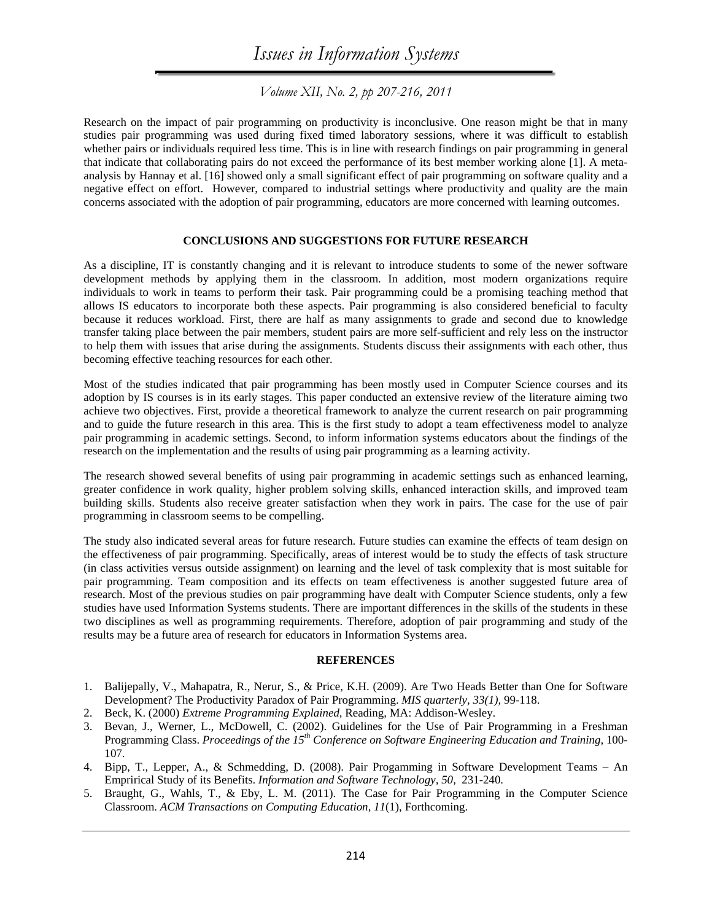*Volume XII, No. 2, pp 207-216, 2011* 

Research on the impact of pair programming on productivity is inconclusive. One reason might be that in many studies pair programming was used during fixed timed laboratory sessions, where it was difficult to establish whether pairs or individuals required less time. This is in line with research findings on pair programming in general that indicate that collaborating pairs do not exceed the performance of its best member working alone [1]. A metaanalysis by Hannay et al. [16] showed only a small significant effect of pair programming on software quality and a negative effect on effort. However, compared to industrial settings where productivity and quality are the main concerns associated with the adoption of pair programming, educators are more concerned with learning outcomes.

#### **CONCLUSIONS AND SUGGESTIONS FOR FUTURE RESEARCH**

As a discipline, IT is constantly changing and it is relevant to introduce students to some of the newer software development methods by applying them in the classroom. In addition, most modern organizations require individuals to work in teams to perform their task. Pair programming could be a promising teaching method that allows IS educators to incorporate both these aspects. Pair programming is also considered beneficial to faculty because it reduces workload. First, there are half as many assignments to grade and second due to knowledge transfer taking place between the pair members, student pairs are more self-sufficient and rely less on the instructor to help them with issues that arise during the assignments. Students discuss their assignments with each other, thus becoming effective teaching resources for each other.

Most of the studies indicated that pair programming has been mostly used in Computer Science courses and its adoption by IS courses is in its early stages. This paper conducted an extensive review of the literature aiming two achieve two objectives. First, provide a theoretical framework to analyze the current research on pair programming and to guide the future research in this area. This is the first study to adopt a team effectiveness model to analyze pair programming in academic settings. Second, to inform information systems educators about the findings of the research on the implementation and the results of using pair programming as a learning activity.

The research showed several benefits of using pair programming in academic settings such as enhanced learning, greater confidence in work quality, higher problem solving skills, enhanced interaction skills, and improved team building skills. Students also receive greater satisfaction when they work in pairs. The case for the use of pair programming in classroom seems to be compelling.

The study also indicated several areas for future research. Future studies can examine the effects of team design on the effectiveness of pair programming. Specifically, areas of interest would be to study the effects of task structure (in class activities versus outside assignment) on learning and the level of task complexity that is most suitable for pair programming. Team composition and its effects on team effectiveness is another suggested future area of research. Most of the previous studies on pair programming have dealt with Computer Science students, only a few studies have used Information Systems students. There are important differences in the skills of the students in these two disciplines as well as programming requirements. Therefore, adoption of pair programming and study of the results may be a future area of research for educators in Information Systems area.

#### **REFERENCES**

- 1. Balijepally, V., Mahapatra, R., Nerur, S., & Price, K.H. (2009). Are Two Heads Better than One for Software Development? The Productivity Paradox of Pair Programming. *MIS quarterly, 33(1),* 99-118.
- 2. Beck, K. (2000) *Extreme Programming Explained,* Reading, MA: Addison-Wesley.
- 3. Bevan, J., Werner, L., McDowell, C. (2002). Guidelines for the Use of Pair Programming in a Freshman Programming Class. *Proceedings of the 15th Conference on Software Engineering Education and Training,* 100- 107.
- 4. Bipp, T., Lepper, A., & Schmedding, D. (2008). Pair Progamming in Software Development Teams An Emprirical Study of its Benefits. *Information and Software Technology, 50,* 231-240.
- 5. Braught, G., Wahls, T., & Eby, L. M. (2011). The Case for Pair Programming in the Computer Science Classroom. *ACM Transactions on Computing Education, 11*(1), Forthcoming.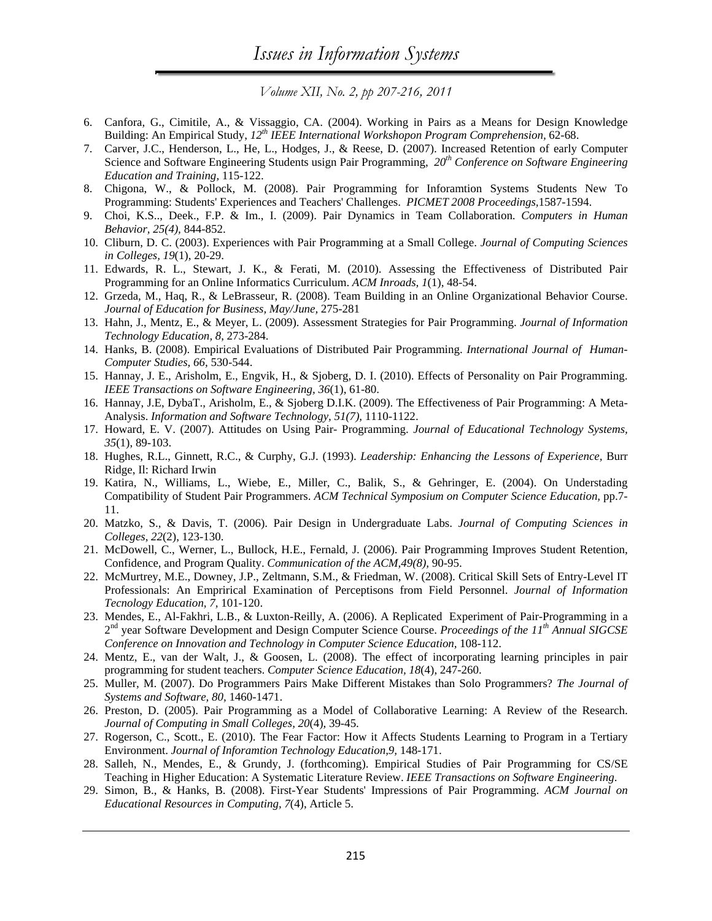- 6. Canfora, G., Cimitile, A., & Vissaggio, CA. (2004). Working in Pairs as a Means for Design Knowledge Building: An Empirical Study, *12th IEEE International Workshopon Program Comprehension,* 62-68.
- 7. Carver, J.C., Henderson, L., He, L., Hodges, J., & Reese, D. (2007). Increased Retention of early Computer Science and Software Engineering Students usign Pair Programming, *20th Conference on Software Engineering Education and Training,* 115-122.
- 8. Chigona, W., & Pollock, M. (2008). Pair Programming for Inforamtion Systems Students New To Programming: Students' Experiences and Teachers' Challenges. *PICMET 2008 Proceedings,*1587-1594.
- 9. Choi, K.S.., Deek., F.P. & Im., I. (2009). Pair Dynamics in Team Collaboration. *Computers in Human Behavior, 25(4),* 844-852.
- 10. Cliburn, D. C. (2003). Experiences with Pair Programming at a Small College. *Journal of Computing Sciences in Colleges, 19*(1), 20-29.
- 11. Edwards, R. L., Stewart, J. K., & Ferati, M. (2010). Assessing the Effectiveness of Distributed Pair Programming for an Online Informatics Curriculum. *ACM Inroads, 1*(1), 48-54.
- 12. Grzeda, M., Haq, R., & LeBrasseur, R. (2008). Team Building in an Online Organizational Behavior Course. *Journal of Education for Business, May/June,* 275-281
- 13. Hahn, J., Mentz, E., & Meyer, L. (2009). Assessment Strategies for Pair Programming. *Journal of Information Technology Education, 8*, 273-284.
- 14. Hanks, B. (2008). Empirical Evaluations of Distributed Pair Programming. *International Journal of Human-Computer Studies, 66,* 530-544.
- 15. Hannay, J. E., Arisholm, E., Engvik, H., & Sjoberg, D. I. (2010). Effects of Personality on Pair Programming. *IEEE Transactions on Software Engineering, 36*(1), 61-80.
- 16. Hannay, J.E, DybaT., Arisholm, E., & Sjoberg D.I.K. (2009). The Effectiveness of Pair Programming: A Meta-Analysis. *Information and Software Technology, 51(7),* 1110-1122.
- 17. Howard, E. V. (2007). Attitudes on Using Pair- Programming. *Journal of Educational Technology Systems, 35*(1), 89-103.
- 18. Hughes, R.L., Ginnett, R.C., & Curphy, G.J. (1993). *Leadership: Enhancing the Lessons of Experience,* Burr Ridge, Il: Richard Irwin
- 19. Katira, N., Williams, L., Wiebe, E., Miller, C., Balik, S., & Gehringer, E. (2004). On Understading Compatibility of Student Pair Programmers. *ACM Technical Symposium on Computer Science Education,* pp.7- 11.
- 20. Matzko, S., & Davis, T. (2006). Pair Design in Undergraduate Labs. *Journal of Computing Sciences in Colleges, 22*(2), 123-130.
- 21. McDowell, C., Werner, L., Bullock, H.E., Fernald, J. (2006). Pair Programming Improves Student Retention, Confidence, and Program Quality. *Communication of the ACM,49(8),* 90-95.
- 22. McMurtrey, M.E., Downey, J.P., Zeltmann, S.M., & Friedman, W. (2008). Critical Skill Sets of Entry-Level IT Professionals: An Emprirical Examination of Perceptisons from Field Personnel. *Journal of Information Tecnology Education, 7,* 101-120.
- 23. Mendes, E., Al-Fakhri, L.B., & Luxton-Reilly, A. (2006). A Replicated Experiment of Pair-Programming in a 2nd year Software Development and Design Computer Science Course. *Proceedings of the 11th Annual SIGCSE Conference on Innovation and Technology in Computer Science Education,* 108-112.
- 24. Mentz, E., van der Walt, J., & Goosen, L. (2008). The effect of incorporating learning principles in pair programming for student teachers. *Computer Science Education, 18*(4), 247-260.
- 25. Muller, M. (2007). Do Programmers Pairs Make Different Mistakes than Solo Programmers? *The Journal of Systems and Software, 80,* 1460-1471.
- 26. Preston, D. (2005). Pair Programming as a Model of Collaborative Learning: A Review of the Research. *Journal of Computing in Small Colleges, 20*(4), 39-45.
- 27. Rogerson, C., Scott., E. (2010). The Fear Factor: How it Affects Students Learning to Program in a Tertiary Environment. *Journal of Inforamtion Technology Education,9,* 148-171.
- 28. Salleh, N., Mendes, E., & Grundy, J. (forthcoming). Empirical Studies of Pair Programming for CS/SE Teaching in Higher Education: A Systematic Literature Review. *IEEE Transactions on Software Engineering*.
- 29. Simon, B., & Hanks, B. (2008). First-Year Students' Impressions of Pair Programming. *ACM Journal on Educational Resources in Computing, 7*(4), Article 5.